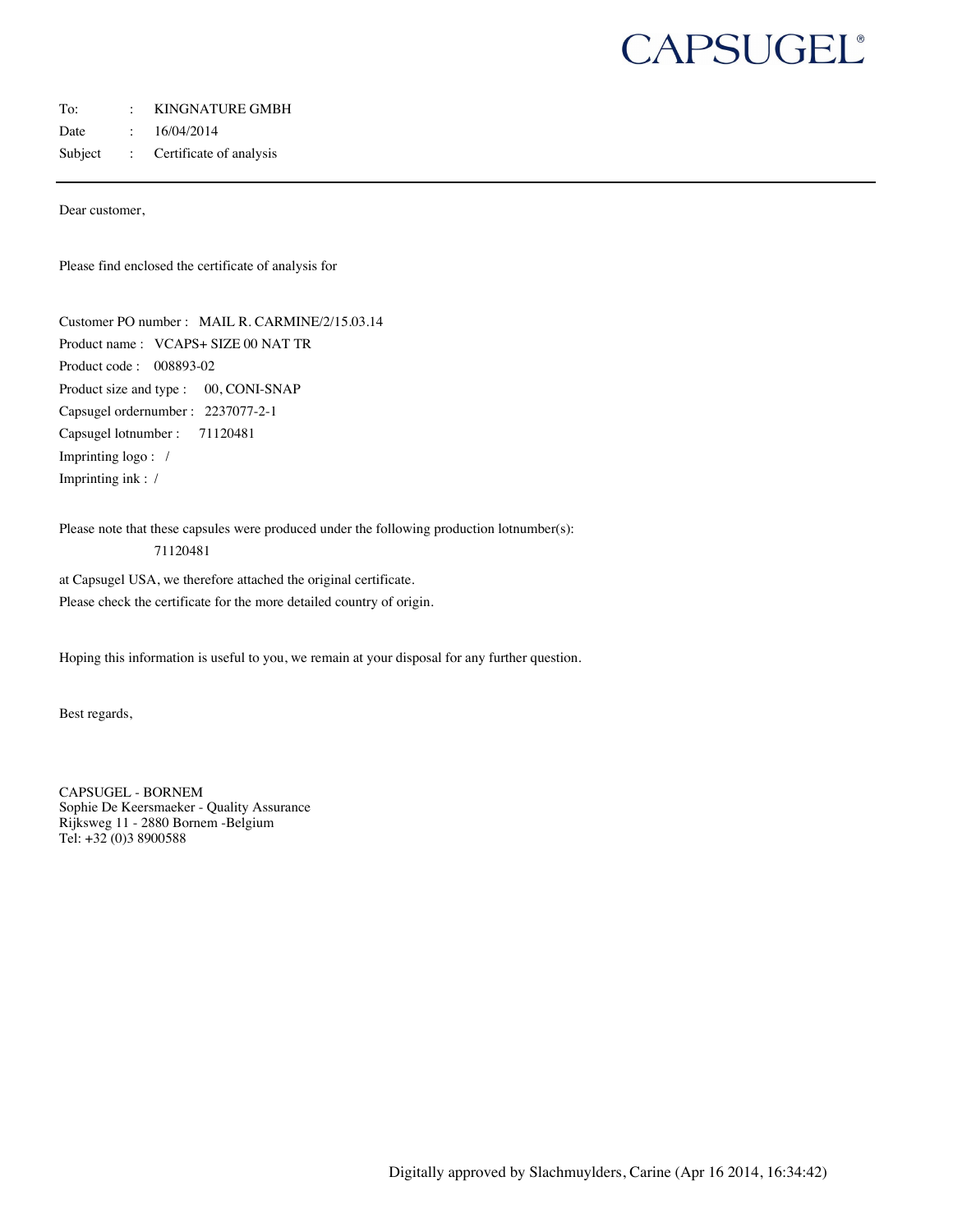# CAPSUGEL®

#### To: : KINGNATURE GMBH

Date : 16/04/2014

Subject : Certificate of analysis

Dear customer,

Please find enclosed the certificate of analysis for

Customer PO number : MAIL R. CARMINE/2/15.03.14 Product name : VCAPS+ SIZE 00 NAT TR Product code : 008893-02 Product size and type : 00, CONI-SNAP Capsugel ordernumber : 2237077-2-1 Capsugel lotnumber : 71120481 Imprinting logo : / Imprinting ink : /

Please note that these capsules were produced under the following production lotnumber(s):

#### 71120481

at Capsugel USA, we therefore attached the original certificate. Please check the certificate for the more detailed country of origin.

Hoping this information is useful to you, we remain at your disposal for any further question.

Best regards,

CAPSUGEL - BORNEM Sophie De Keersmaeker - Quality Assurance Rijksweg 11 - 2880 Bornem -Belgium Tel: +32 (0)3 8900588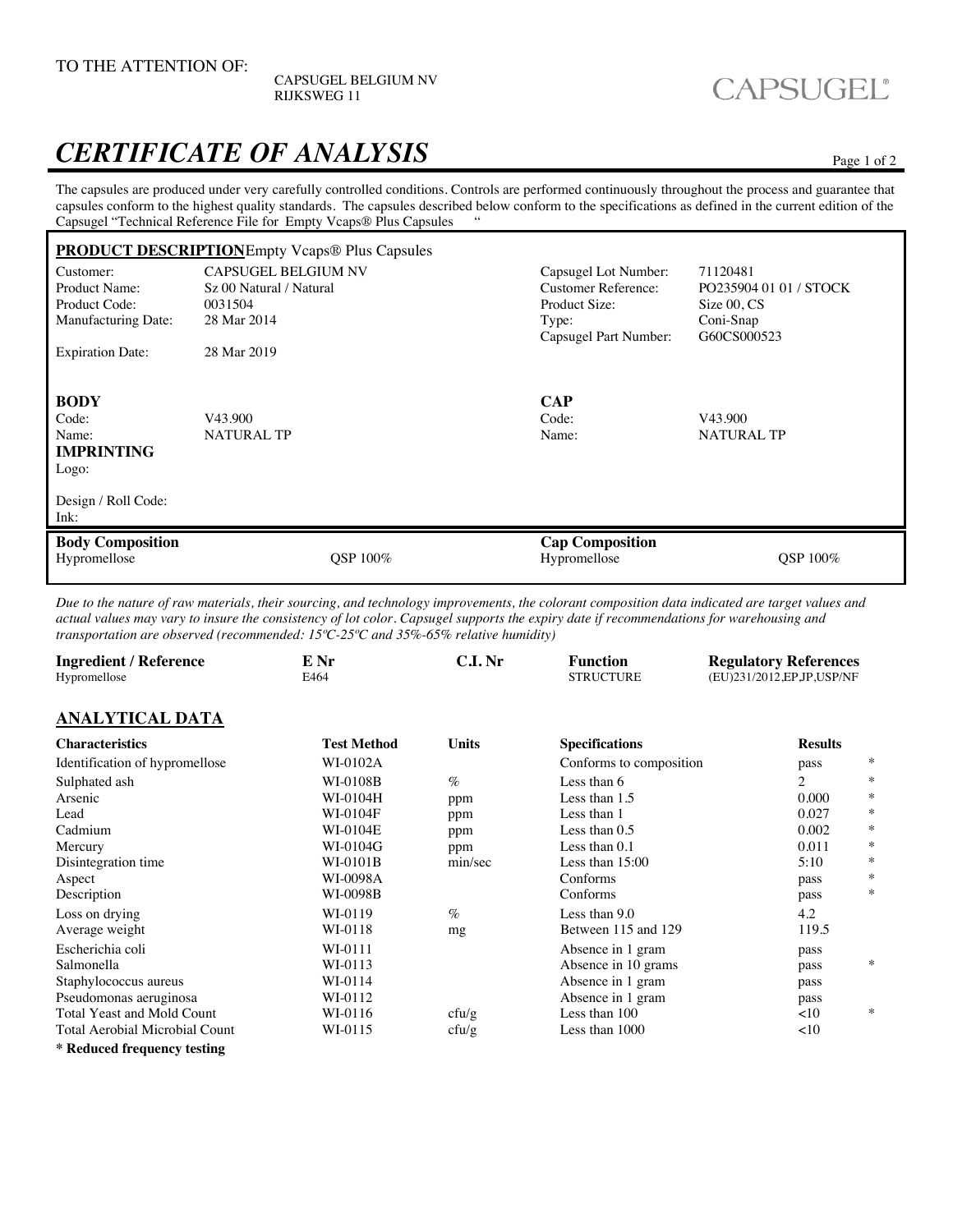CAPSUGEL BELGIUM NV RIJKSWEG 11

### CAPSUGEL®

### *CERTIFICATE OF ANALYSIS* Page 1 of 2

The capsules are produced under very carefully controlled conditions. Controls are performed continuously throughout the process and guarantee that capsules conform to the highest quality standards. The capsules described below conform to the specifications as defined in the current edition of the Capsual "Technical Before near File for Empty Vegas® Plus Capsules ..." Capsugel "Technical Reference File for Empty Vcaps® Plus Capsules "

| <b>PRODUCT DESCRIPTIONE</b> mpty Vcaps® Plus Capsules                                      |                              |                 |                                        |                              |  |  |
|--------------------------------------------------------------------------------------------|------------------------------|-----------------|----------------------------------------|------------------------------|--|--|
| Customer:                                                                                  | <b>CAPSUGEL BELGIUM NV</b>   |                 | Capsugel Lot Number:                   | 71120481                     |  |  |
| Product Name:                                                                              | Sz 00 Natural / Natural      |                 | <b>Customer Reference:</b>             | PO235904 01 01 / STOCK       |  |  |
| Product Code:                                                                              | 0031504                      |                 | Product Size:                          | Size 00, CS                  |  |  |
| Manufacturing Date:                                                                        | 28 Mar 2014                  |                 | Type:                                  | Coni-Snap                    |  |  |
|                                                                                            |                              |                 | Capsugel Part Number:                  | G60CS000523                  |  |  |
| <b>Expiration Date:</b>                                                                    | 28 Mar 2019                  |                 |                                        |                              |  |  |
| <b>BODY</b><br>Code:<br>Name:<br><b>IMPRINTING</b><br>Logo:<br>Design / Roll Code:<br>Ink: | V43.900<br><b>NATURAL TP</b> |                 | <b>CAP</b><br>Code:<br>Name:           | V43.900<br><b>NATURAL TP</b> |  |  |
| <b>Body Composition</b><br>Hypromellose                                                    |                              | <b>OSP 100%</b> | <b>Cap Composition</b><br>Hypromellose | <b>OSP 100%</b>              |  |  |

*Due to the nature of raw materials, their sourcing, and technology improvements, the colorant composition data indicated are target values and actual values may vary to insure the consistency of lot color. Capsugel supports the expiry date if recommendations for warehousing and transportation are observed (recommended: 15ºC-25ºC and 35%-65% relative humidity)* 

| <b>Ingredient / Reference</b><br>Hypromellose | E Nr<br>E464       | C.I.Nr       | <b>Function</b><br><b>STRUCTURE</b> | <b>Regulatory References</b><br>(EU)231/2012, EP JP, USP/NF |        |  |  |  |  |
|-----------------------------------------------|--------------------|--------------|-------------------------------------|-------------------------------------------------------------|--------|--|--|--|--|
| <b>ANALYTICAL DATA</b>                        |                    |              |                                     |                                                             |        |  |  |  |  |
| <b>Characteristics</b>                        | <b>Test Method</b> | <b>Units</b> | <b>Specifications</b>               | <b>Results</b>                                              |        |  |  |  |  |
| Identification of hypromellose                | WI-0102A           |              | Conforms to composition             | pass                                                        | ∗      |  |  |  |  |
| Sulphated ash                                 | WI-0108B           | $\%$         | Less than 6                         | 2                                                           | ∗      |  |  |  |  |
| Arsenic                                       | WI-0104H           | ppm          | Less than 1.5                       | 0.000                                                       | $\ast$ |  |  |  |  |
| Lead                                          | WI-0104F           | ppm          | Less than 1                         | 0.027                                                       | ∗      |  |  |  |  |
| Cadmium                                       | WI-0104E           | ppm          | Less than $0.5$                     | 0.002                                                       | ∗      |  |  |  |  |
| Mercury                                       | WI-0104G           | ppm          | Less than 0.1                       | 0.011                                                       | ∗      |  |  |  |  |
| Disintegration time                           | WI-0101B           | min/sec      | Less than $15:00$                   | 5:10                                                        | $\ast$ |  |  |  |  |
| Aspect                                        | WI-0098A           |              | Conforms                            | pass                                                        | $\ast$ |  |  |  |  |
| Description                                   | WI-0098B           |              | Conforms                            | pass                                                        | $\ast$ |  |  |  |  |
| Loss on drying                                | WI-0119            | $\%$         | Less than 9.0                       | 4.2                                                         |        |  |  |  |  |
| Average weight                                | WI-0118            | mg           | Between 115 and 129                 | 119.5                                                       |        |  |  |  |  |
| Escherichia coli                              | WI-0111            |              | Absence in 1 gram                   | pass                                                        |        |  |  |  |  |
| Salmonella                                    | WI-0113            |              | Absence in 10 grams                 | pass                                                        | ∗      |  |  |  |  |
| Staphylococcus aureus                         | WI-0114            |              | Absence in 1 gram                   | pass                                                        |        |  |  |  |  |
| Pseudomonas aeruginosa                        | WI-0112            |              | Absence in 1 gram                   | pass                                                        |        |  |  |  |  |
| Total Yeast and Mold Count                    | WI-0116            | cfu/g        | Less than 100                       | <10                                                         | ∗      |  |  |  |  |
| <b>Total Aerobial Microbial Count</b>         | WI-0115            | cfu/g        | Less than 1000                      | <10                                                         |        |  |  |  |  |
|                                               |                    |              |                                     |                                                             |        |  |  |  |  |

**\* Reduced frequency testing**